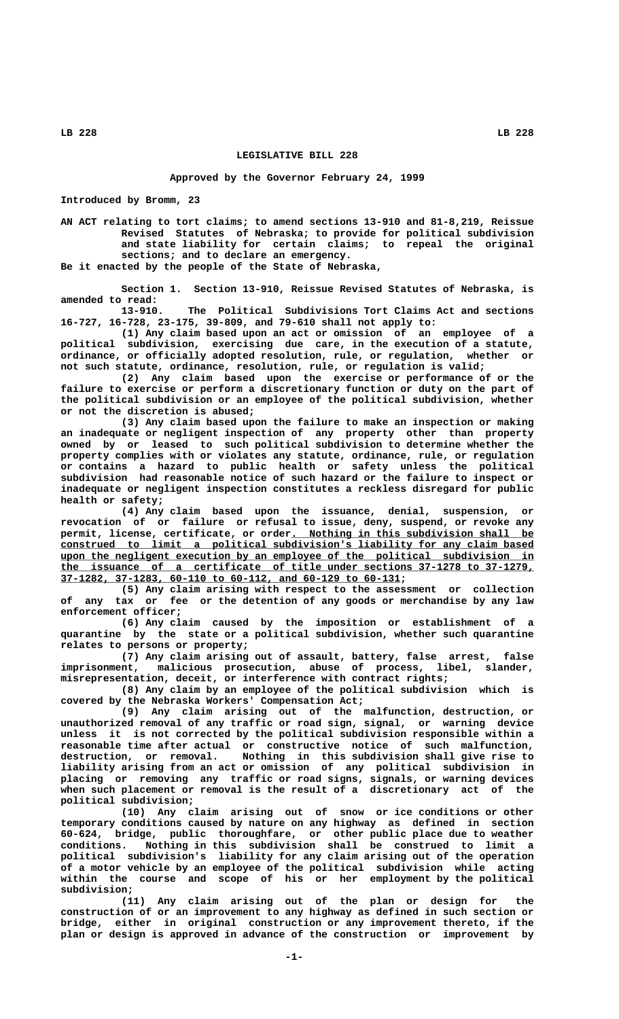## **LB 228 LB 228**

## **LEGISLATIVE BILL 228**

**Approved by the Governor February 24, 1999**

**Introduced by Bromm, 23**

**AN ACT relating to tort claims; to amend sections 13-910 and 81-8,219, Reissue Revised Statutes of Nebraska; to provide for political subdivision and state liability for certain claims; to repeal the original sections; and to declare an emergency.**

**Be it enacted by the people of the State of Nebraska,**

**Section 1. Section 13-910, Reissue Revised Statutes of Nebraska, is amended to read:**

**13-910. The Political Subdivisions Tort Claims Act and sections 16-727, 16-728, 23-175, 39-809, and 79-610 shall not apply to:**

**(1) Any claim based upon an act or omission of an employee of a political subdivision, exercising due care, in the execution of a statute, ordinance, or officially adopted resolution, rule, or regulation, whether or not such statute, ordinance, resolution, rule, or regulation is valid;**

**(2) Any claim based upon the exercise or performance of or the failure to exercise or perform a discretionary function or duty on the part of the political subdivision or an employee of the political subdivision, whether or not the discretion is abused;**

**(3) Any claim based upon the failure to make an inspection or making an inadequate or negligent inspection of any property other than property owned by or leased to such political subdivision to determine whether the property complies with or violates any statute, ordinance, rule, or regulation or contains a hazard to public health or safety unless the political subdivision had reasonable notice of such hazard or the failure to inspect or inadequate or negligent inspection constitutes a reckless disregard for public health or safety;**

**(4) Any claim based upon the issuance, denial, suspension, or revocation of or failure or refusal to issue, deny, suspend, or revoke any** permit, license, certificate, or order. Nothing in this subdivision shall be  **\_\_\_\_\_\_\_\_\_\_\_\_\_\_\_\_\_\_\_\_\_\_\_\_\_\_\_\_\_\_\_\_\_\_\_\_\_\_\_\_\_\_\_\_\_\_\_\_\_\_\_\_\_\_\_\_\_\_\_\_\_\_\_\_\_\_\_\_\_\_\_\_\_\_\_\_\_\_ construed to limit a political subdivision's liability for any claim based \_\_\_\_\_\_\_\_\_\_\_\_\_\_\_\_\_\_\_\_\_\_\_\_\_\_\_\_\_\_\_\_\_\_\_\_\_\_\_\_\_\_\_\_\_\_\_\_\_\_\_\_\_\_\_\_\_\_\_\_\_\_\_\_\_\_\_\_\_\_\_\_\_\_\_\_\_\_ upon the negligent execution by an employee of the political subdivision in \_\_\_\_\_\_\_\_\_\_\_\_\_\_\_\_\_\_\_\_\_\_\_\_\_\_\_\_\_\_\_\_\_\_\_\_\_\_\_\_\_\_\_\_\_\_\_\_\_\_\_\_\_\_\_\_\_\_\_\_\_\_\_\_\_\_\_\_\_\_\_\_\_\_\_\_\_\_ the issuance of a certificate of title under sections 37-1278 to 37-1279, \_\_\_\_\_\_\_\_\_\_\_\_\_\_\_\_\_\_\_\_\_\_\_\_\_\_\_\_\_\_\_\_\_\_\_\_\_\_\_\_\_\_\_\_\_\_\_\_\_\_\_\_\_\_\_\_ 37-1282, 37-1283, 60-110 to 60-112, and 60-129 to 60-131;**

**(5) Any claim arising with respect to the assessment or collection of any tax or fee or the detention of any goods or merchandise by any law enforcement officer;**

**(6) Any claim caused by the imposition or establishment of a quarantine by the state or a political subdivision, whether such quarantine relates to persons or property;**

**(7) Any claim arising out of assault, battery, false arrest, false imprisonment, malicious prosecution, abuse of process, libel, slander, misrepresentation, deceit, or interference with contract rights;**

**(8) Any claim by an employee of the political subdivision which is covered by the Nebraska Workers' Compensation Act;**

**(9) Any claim arising out of the malfunction, destruction, or unauthorized removal of any traffic or road sign, signal, or warning device unless it is not corrected by the political subdivision responsible within a reasonable time after actual or constructive notice of such malfunction, destruction, or removal. Nothing in this subdivision shall give rise to liability arising from an act or omission of any political subdivision in placing or removing any traffic or road signs, signals, or warning devices when such placement or removal is the result of a discretionary act of the political subdivision;**

**(10) Any claim arising out of snow or ice conditions or other temporary conditions caused by nature on any highway as defined in section 60-624, bridge, public thoroughfare, or other public place due to weather conditions. Nothing in this subdivision shall be construed to limit a political subdivision's liability for any claim arising out of the operation of a motor vehicle by an employee of the political subdivision while acting within the course and scope of his or her employment by the political subdivision;**

**(11) Any claim arising out of the plan or design for the construction of or an improvement to any highway as defined in such section or bridge, either in original construction or any improvement thereto, if the plan or design is approved in advance of the construction or improvement by**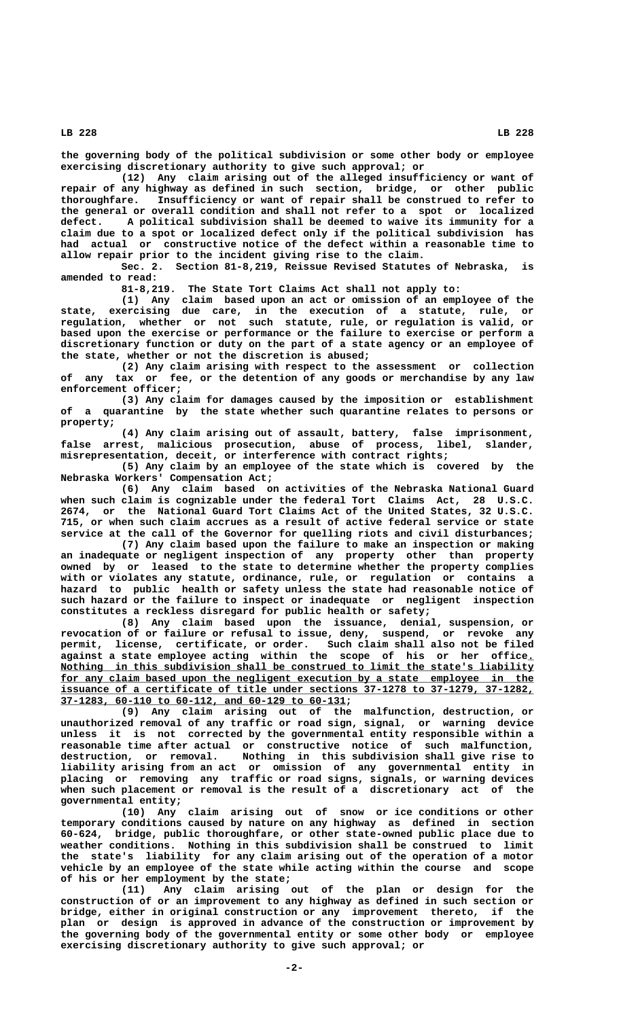**LB 228 LB 228**

**the governing body of the political subdivision or some other body or employee exercising discretionary authority to give such approval; or**

**(12) Any claim arising out of the alleged insufficiency or want of repair of any highway as defined in such section, bridge, or other public thoroughfare. Insufficiency or want of repair shall be construed to refer to the general or overall condition and shall not refer to a spot or localized defect. A political subdivision shall be deemed to waive its immunity for a claim due to a spot or localized defect only if the political subdivision has had actual or constructive notice of the defect within a reasonable time to allow repair prior to the incident giving rise to the claim.**

**Sec. 2. Section 81-8,219, Reissue Revised Statutes of Nebraska, is amended to read:**

**81-8,219. The State Tort Claims Act shall not apply to:**

**(1) Any claim based upon an act or omission of an employee of the state, exercising due care, in the execution of a statute, rule, or regulation, whether or not such statute, rule, or regulation is valid, or based upon the exercise or performance or the failure to exercise or perform a discretionary function or duty on the part of a state agency or an employee of the state, whether or not the discretion is abused;**

**(2) Any claim arising with respect to the assessment or collection of any tax or fee, or the detention of any goods or merchandise by any law enforcement officer;**

**(3) Any claim for damages caused by the imposition or establishment of a quarantine by the state whether such quarantine relates to persons or property;**

**(4) Any claim arising out of assault, battery, false imprisonment, false arrest, malicious prosecution, abuse of process, libel, slander, misrepresentation, deceit, or interference with contract rights;**

**(5) Any claim by an employee of the state which is covered by the Nebraska Workers' Compensation Act;**

**(6) Any claim based on activities of the Nebraska National Guard when such claim is cognizable under the federal Tort Claims Act, 28 U.S.C. 2674, or the National Guard Tort Claims Act of the United States, 32 U.S.C. 715, or when such claim accrues as a result of active federal service or state service at the call of the Governor for quelling riots and civil disturbances;**

**(7) Any claim based upon the failure to make an inspection or making an inadequate or negligent inspection of any property other than property owned by or leased to the state to determine whether the property complies with or violates any statute, ordinance, rule, or regulation or contains a hazard to public health or safety unless the state had reasonable notice of such hazard or the failure to inspect or inadequate or negligent inspection constitutes a reckless disregard for public health or safety;**

**(8) Any claim based upon the issuance, denial, suspension, or revocation of or failure or refusal to issue, deny, suspend, or revoke any permit, license, certificate, or order. Such claim shall also not be filed against a state employee acting within the scope of his or her office.\_** Nothing in this subdivision shall be construed to limit the state's liability for any claim based upon the negligent execution by a state employee in the  **\_\_\_\_\_\_\_\_\_\_\_\_\_\_\_\_\_\_\_\_\_\_\_\_\_\_\_\_\_\_\_\_\_\_\_\_\_\_\_\_\_\_\_\_\_\_\_\_\_\_\_\_\_\_\_\_\_\_\_\_\_\_\_\_\_\_\_\_\_\_\_\_\_\_\_\_\_\_ issuance of a certificate of title under sections 37-1278 to 37-1279, 37-1282, \_\_\_\_\_\_\_\_\_\_\_\_\_\_\_\_\_\_\_\_\_\_\_\_\_\_\_\_\_\_\_\_\_\_\_\_\_\_\_\_\_\_\_\_\_\_\_ 37-1283, 60-110 to 60-112, and 60-129 to 60-131;**

> **(9) Any claim arising out of the malfunction, destruction, or unauthorized removal of any traffic or road sign, signal, or warning device unless it is not corrected by the governmental entity responsible within a reasonable time after actual or constructive notice of such malfunction, destruction, or removal. Nothing in this subdivision shall give rise to liability arising from an act or omission of any governmental entity in placing or removing any traffic or road signs, signals, or warning devices when such placement or removal is the result of a discretionary act of the governmental entity;**

> **(10) Any claim arising out of snow or ice conditions or other temporary conditions caused by nature on any highway as defined in section 60-624, bridge, public thoroughfare, or other state-owned public place due to weather conditions. Nothing in this subdivision shall be construed to limit the state's liability for any claim arising out of the operation of a motor vehicle by an employee of the state while acting within the course and scope of his or her employment by the state;**

> **(11) Any claim arising out of the plan or design for the construction of or an improvement to any highway as defined in such section or bridge, either in original construction or any improvement thereto, if the plan or design is approved in advance of the construction or improvement by the governing body of the governmental entity or some other body or employee exercising discretionary authority to give such approval; or**